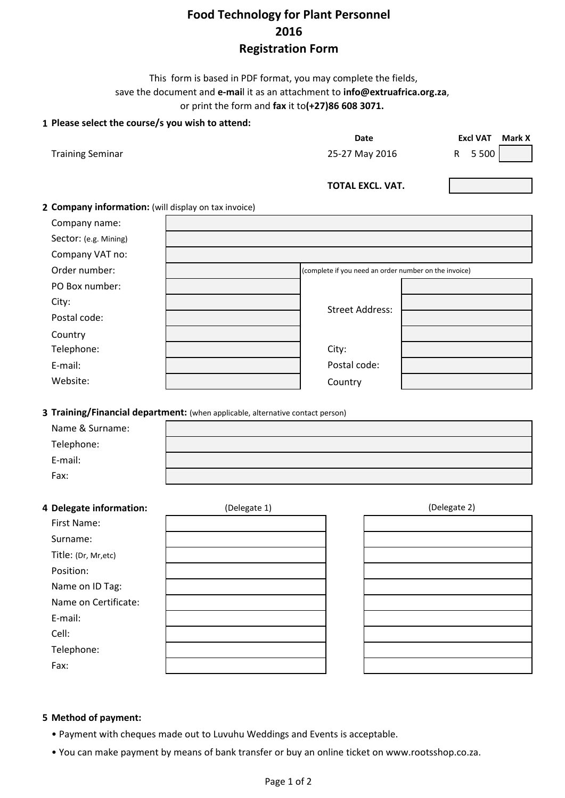# **Food Technology for Plant Personnel 2016 Registration Form**

This form is based in PDF format, you may complete the fields, save the document and **e-mai**l it as an attachment to **info@extruafrica.org.za**, or print the form and **fax** it to**(+27)86 608 3071.**

## **1 Please select the course/s you wish to attend:**

|                         | Date             | <b>Excl VAT</b> | Mark X |
|-------------------------|------------------|-----------------|--------|
| <b>Training Seminar</b> | 25-27 May 2016   | R 5500          |        |
|                         | TOTAL EXCL. VAT. |                 |        |

## **2 Company information:** (will display on tax invoice)

| Company name:         |                                                       |  |
|-----------------------|-------------------------------------------------------|--|
| Sector: (e.g. Mining) |                                                       |  |
| Company VAT no:       |                                                       |  |
| Order number:         | (complete if you need an order number on the invoice) |  |
| PO Box number:        |                                                       |  |
| City:                 | <b>Street Address:</b>                                |  |
| Postal code:          |                                                       |  |
| Country               |                                                       |  |
| Telephone:            | City:                                                 |  |
| E-mail:               | Postal code:                                          |  |
| Website:              | Country                                               |  |

**3 Training/Financial department:** (when applicable, alternative contact person)

| Name & Surname: |  |
|-----------------|--|
| Telephone:      |  |
| E-mail:         |  |
| Fax:            |  |

#### **4 Delegate information:** (Delegate 1)

| $5 - 1$ |  |  |
|---------|--|--|
|         |  |  |
|         |  |  |
|         |  |  |
|         |  |  |
|         |  |  |
|         |  |  |
|         |  |  |
|         |  |  |
|         |  |  |
|         |  |  |

(Delegate 2)

#### **5 Method of payment:**

- Payment with cheques made out to Luvuhu Weddings and Events is acceptable.
- You can make payment by means of bank transfer or buy an online ticket on www.rootsshop.co.za.